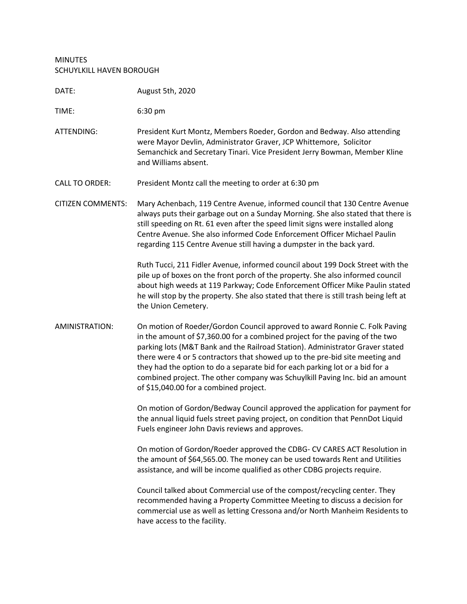## MINUTES SCHUYLKILL HAVEN BOROUGH

| DATE:                    | August 5th, 2020                                                                                                                                                                                                                                                                                                                                                                                                                                                                                                                      |
|--------------------------|---------------------------------------------------------------------------------------------------------------------------------------------------------------------------------------------------------------------------------------------------------------------------------------------------------------------------------------------------------------------------------------------------------------------------------------------------------------------------------------------------------------------------------------|
| TIME:                    | 6:30 pm                                                                                                                                                                                                                                                                                                                                                                                                                                                                                                                               |
| ATTENDING:               | President Kurt Montz, Members Roeder, Gordon and Bedway. Also attending<br>were Mayor Devlin, Administrator Graver, JCP Whittemore, Solicitor<br>Semanchick and Secretary Tinari. Vice President Jerry Bowman, Member Kline<br>and Williams absent.                                                                                                                                                                                                                                                                                   |
| <b>CALL TO ORDER:</b>    | President Montz call the meeting to order at 6:30 pm                                                                                                                                                                                                                                                                                                                                                                                                                                                                                  |
| <b>CITIZEN COMMENTS:</b> | Mary Achenbach, 119 Centre Avenue, informed council that 130 Centre Avenue<br>always puts their garbage out on a Sunday Morning. She also stated that there is<br>still speeding on Rt. 61 even after the speed limit signs were installed along<br>Centre Avenue. She also informed Code Enforcement Officer Michael Paulin<br>regarding 115 Centre Avenue still having a dumpster in the back yard.                                                                                                                                 |
|                          | Ruth Tucci, 211 Fidler Avenue, informed council about 199 Dock Street with the<br>pile up of boxes on the front porch of the property. She also informed council<br>about high weeds at 119 Parkway; Code Enforcement Officer Mike Paulin stated<br>he will stop by the property. She also stated that there is still trash being left at<br>the Union Cemetery.                                                                                                                                                                      |
| AMINISTRATION:           | On motion of Roeder/Gordon Council approved to award Ronnie C. Folk Paving<br>in the amount of \$7,360.00 for a combined project for the paving of the two<br>parking lots (M&T Bank and the Railroad Station). Administrator Graver stated<br>there were 4 or 5 contractors that showed up to the pre-bid site meeting and<br>they had the option to do a separate bid for each parking lot or a bid for a<br>combined project. The other company was Schuylkill Paving Inc. bid an amount<br>of \$15,040.00 for a combined project. |
|                          | On motion of Gordon/Bedway Council approved the application for payment for<br>the annual liquid fuels street paving project, on condition that PennDot Liquid<br>Fuels engineer John Davis reviews and approves.                                                                                                                                                                                                                                                                                                                     |
|                          | On motion of Gordon/Roeder approved the CDBG- CV CARES ACT Resolution in<br>the amount of \$64,565.00. The money can be used towards Rent and Utilities<br>assistance, and will be income qualified as other CDBG projects require.                                                                                                                                                                                                                                                                                                   |
|                          | Council talked about Commercial use of the compost/recycling center. They<br>recommended having a Property Committee Meeting to discuss a decision for<br>commercial use as well as letting Cressona and/or North Manheim Residents to<br>have access to the facility.                                                                                                                                                                                                                                                                |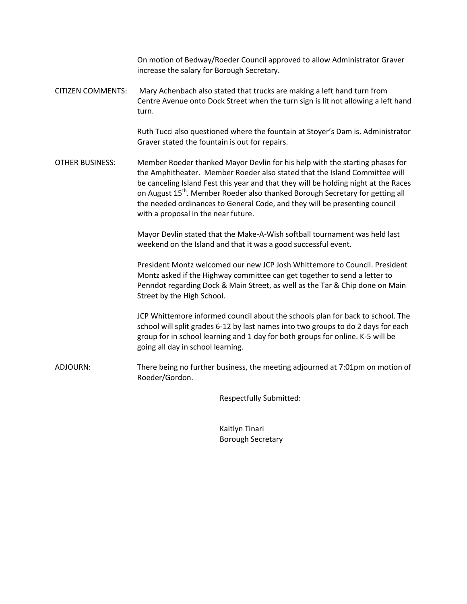On motion of Bedway/Roeder Council approved to allow Administrator Graver increase the salary for Borough Secretary.

CITIZEN COMMENTS: Mary Achenbach also stated that trucks are making a left hand turn from Centre Avenue onto Dock Street when the turn sign is lit not allowing a left hand turn.

> Ruth Tucci also questioned where the fountain at Stoyer's Dam is. Administrator Graver stated the fountain is out for repairs.

OTHER BUSINESS: Member Roeder thanked Mayor Devlin for his help with the starting phases for the Amphitheater. Member Roeder also stated that the Island Committee will be canceling Island Fest this year and that they will be holding night at the Races on August 15<sup>th</sup>. Member Roeder also thanked Borough Secretary for getting all the needed ordinances to General Code, and they will be presenting council with a proposal in the near future.

> Mayor Devlin stated that the Make-A-Wish softball tournament was held last weekend on the Island and that it was a good successful event.

President Montz welcomed our new JCP Josh Whittemore to Council. President Montz asked if the Highway committee can get together to send a letter to Penndot regarding Dock & Main Street, as well as the Tar & Chip done on Main Street by the High School.

JCP Whittemore informed council about the schools plan for back to school. The school will split grades 6-12 by last names into two groups to do 2 days for each group for in school learning and 1 day for both groups for online. K-5 will be going all day in school learning.

ADJOURN: There being no further business, the meeting adjourned at 7:01pm on motion of Roeder/Gordon.

Respectfully Submitted:

Kaitlyn Tinari Borough Secretary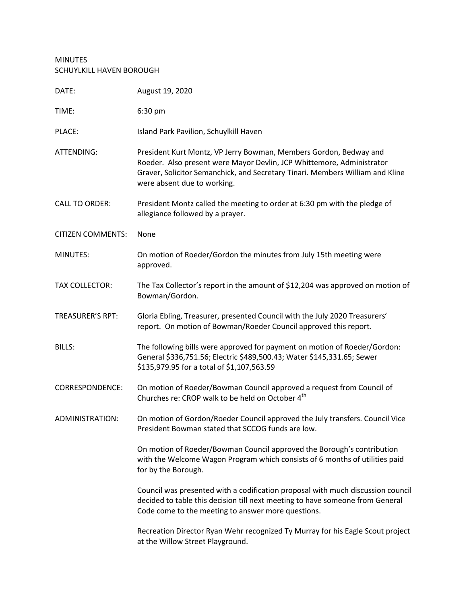## MINUTES SCHUYLKILL HAVEN BOROUGH

| DATE:                    | August 19, 2020                                                                                                                                                                                                                                            |
|--------------------------|------------------------------------------------------------------------------------------------------------------------------------------------------------------------------------------------------------------------------------------------------------|
| TIME:                    | 6:30 pm                                                                                                                                                                                                                                                    |
| PLACE:                   | Island Park Pavilion, Schuylkill Haven                                                                                                                                                                                                                     |
| ATTENDING:               | President Kurt Montz, VP Jerry Bowman, Members Gordon, Bedway and<br>Roeder. Also present were Mayor Devlin, JCP Whittemore, Administrator<br>Graver, Solicitor Semanchick, and Secretary Tinari. Members William and Kline<br>were absent due to working. |
| <b>CALL TO ORDER:</b>    | President Montz called the meeting to order at 6:30 pm with the pledge of<br>allegiance followed by a prayer.                                                                                                                                              |
| <b>CITIZEN COMMENTS:</b> | None                                                                                                                                                                                                                                                       |
| MINUTES:                 | On motion of Roeder/Gordon the minutes from July 15th meeting were<br>approved.                                                                                                                                                                            |
| <b>TAX COLLECTOR:</b>    | The Tax Collector's report in the amount of \$12,204 was approved on motion of<br>Bowman/Gordon.                                                                                                                                                           |
| <b>TREASURER'S RPT:</b>  | Gloria Ebling, Treasurer, presented Council with the July 2020 Treasurers'<br>report. On motion of Bowman/Roeder Council approved this report.                                                                                                             |
| <b>BILLS:</b>            | The following bills were approved for payment on motion of Roeder/Gordon:<br>General \$336,751.56; Electric \$489,500.43; Water \$145,331.65; Sewer<br>\$135,979.95 for a total of \$1,107,563.59                                                          |
| <b>CORRESPONDENCE:</b>   | On motion of Roeder/Bowman Council approved a request from Council of<br>Churches re: CROP walk to be held on October 4 <sup>th</sup>                                                                                                                      |
| ADMINISTRATION:          | On motion of Gordon/Roeder Council approved the July transfers. Council Vice<br>President Bowman stated that SCCOG funds are low.                                                                                                                          |
|                          | On motion of Roeder/Bowman Council approved the Borough's contribution<br>with the Welcome Wagon Program which consists of 6 months of utilities paid<br>for by the Borough.                                                                               |
|                          | Council was presented with a codification proposal with much discussion council<br>decided to table this decision till next meeting to have someone from General<br>Code come to the meeting to answer more questions.                                     |
|                          | Recreation Director Ryan Wehr recognized Ty Murray for his Eagle Scout project<br>at the Willow Street Playground.                                                                                                                                         |